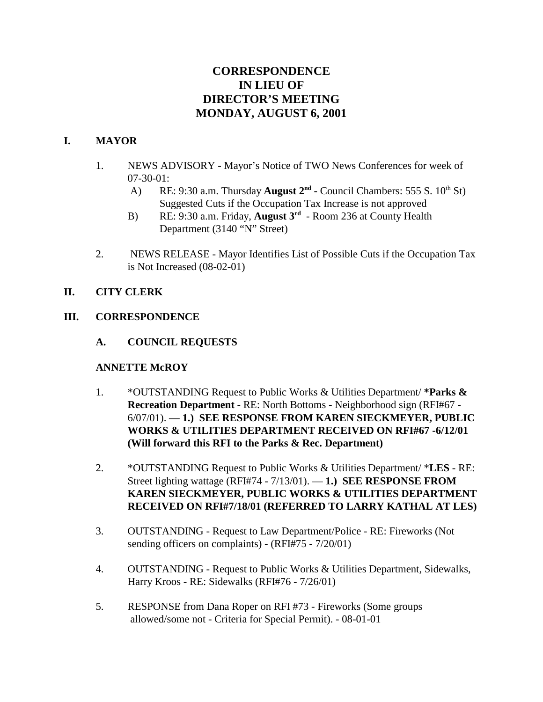# **CORRESPONDENCE IN LIEU OF DIRECTOR'S MEETING MONDAY, AUGUST 6, 2001**

#### **I. MAYOR**

- 1. NEWS ADVISORY Mayor's Notice of TWO News Conferences for week of 07-30-01:
	- A) RE: 9:30 a.m. Thursday **August 2<sup>nd</sup>** Council Chambers: 555 S. 10<sup>th</sup> St) Suggested Cuts if the Occupation Tax Increase is not approved
	- B) RE: 9:30 a.m. Friday, **August 3rd** Room 236 at County Health Department (3140 "N" Street)
- 2. NEWS RELEASE Mayor Identifies List of Possible Cuts if the Occupation Tax is Not Increased (08-02-01)

## **II. CITY CLERK**

## **III. CORRESPONDENCE**

**A. COUNCIL REQUESTS**

#### **ANNETTE McROY**

- 1. \*OUTSTANDING Request to Public Works & Utilities Department/ **\*Parks & Recreation Department** - RE: North Bottoms - Neighborhood sign (RFI#67 - 6/07/01). — **1.) SEE RESPONSE FROM KAREN SIECKMEYER, PUBLIC WORKS & UTILITIES DEPARTMENT RECEIVED ON RFI#67 -6/12/01 (Will forward this RFI to the Parks & Rec. Department)**
- 2. \*OUTSTANDING Request to Public Works & Utilities Department/ \***LES** RE: Street lighting wattage (RFI#74 - 7/13/01). — **1.) SEE RESPONSE FROM KAREN SIECKMEYER, PUBLIC WORKS & UTILITIES DEPARTMENT RECEIVED ON RFI#7/18/01 (REFERRED TO LARRY KATHAL AT LES)**
- 3. OUTSTANDING Request to Law Department/Police RE: Fireworks (Not sending officers on complaints) - (RFI#75 - 7/20/01)
- 4. OUTSTANDING Request to Public Works & Utilities Department, Sidewalks, Harry Kroos - RE: Sidewalks (RFI#76 - 7/26/01)
- 5. RESPONSE from Dana Roper on RFI #73 Fireworks (Some groups allowed/some not - Criteria for Special Permit). - 08-01-01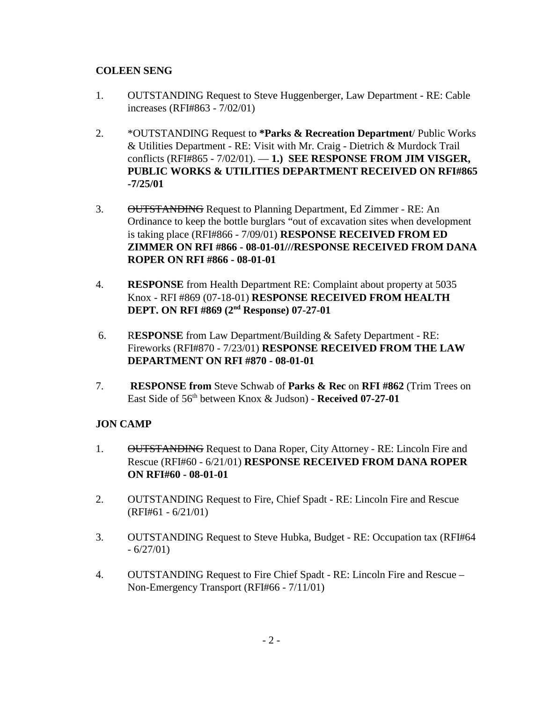# **COLEEN SENG**

- 1. OUTSTANDING Request to Steve Huggenberger, Law Department RE: Cable increases (RFI#863 - 7/02/01)
- 2. \*OUTSTANDING Request to **\*Parks & Recreation Department**/ Public Works & Utilities Department - RE: Visit with Mr. Craig - Dietrich & Murdock Trail conflicts (RFI#865 - 7/02/01). — **1.) SEE RESPONSE FROM JIM VISGER, PUBLIC WORKS & UTILITIES DEPARTMENT RECEIVED ON RFI#865 -7/25/01**
- 3. OUTSTANDING Request to Planning Department, Ed Zimmer RE: An Ordinance to keep the bottle burglars "out of excavation sites when development is taking place (RFI#866 - 7/09/01) **RESPONSE RECEIVED FROM ED ZIMMER ON RFI #866 - 08-01-01///RESPONSE RECEIVED FROM DANA ROPER ON RFI #866 - 08-01-01**
- 4. **RESPONSE** from Health Department RE: Complaint about property at 5035 Knox - RFI #869 (07-18-01) **RESPONSE RECEIVED FROM HEALTH DEPT. ON RFI #869 (2nd Response) 07-27-01**
- 6. R**ESPONSE** from Law Department/Building & Safety Department RE: Fireworks (RFI#870 - 7/23/01) **RESPONSE RECEIVED FROM THE LAW DEPARTMENT ON RFI #870 - 08-01-01**
- 7. **RESPONSE from** Steve Schwab of **Parks & Rec** on **RFI #862** (Trim Trees on East Side of 56th between Knox & Judson) - **Received 07-27-01**

# **JON CAMP**

- 1. OUTSTANDING Request to Dana Roper, City Attorney RE: Lincoln Fire and Rescue (RFI#60 - 6/21/01) **RESPONSE RECEIVED FROM DANA ROPER ON RFI#60 - 08-01-01**
- 2. OUTSTANDING Request to Fire, Chief Spadt RE: Lincoln Fire and Rescue (RFI#61 - 6/21/01)
- 3. OUTSTANDING Request to Steve Hubka, Budget RE: Occupation tax (RFI#64  $-6/27/01$
- 4. OUTSTANDING Request to Fire Chief Spadt RE: Lincoln Fire and Rescue Non-Emergency Transport (RFI#66 - 7/11/01)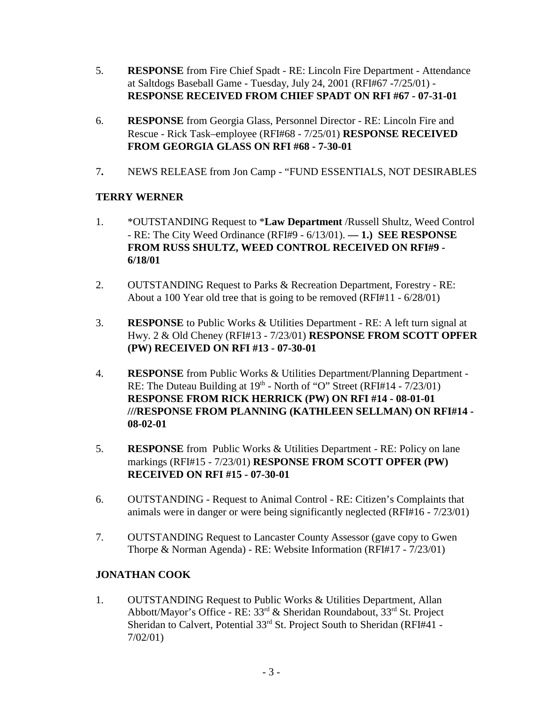- 5. **RESPONSE** from Fire Chief Spadt RE: Lincoln Fire Department Attendance at Saltdogs Baseball Game - Tuesday, July 24, 2001 (RFI#67 -7/25/01) - **RESPONSE RECEIVED FROM CHIEF SPADT ON RFI #67 - 07-31-01**
- 6. **RESPONSE** from Georgia Glass, Personnel Director RE: Lincoln Fire and Rescue - Rick Task–employee (RFI#68 - 7/25/01) **RESPONSE RECEIVED FROM GEORGIA GLASS ON RFI #68 - 7-30-01**
- 7**.** NEWS RELEASE from Jon Camp "FUND ESSENTIALS, NOT DESIRABLES

## **TERRY WERNER**

- 1. \*OUTSTANDING Request to \***Law Department** /Russell Shultz, Weed Control - RE: The City Weed Ordinance (RFI#9 - 6/13/01). **— 1.) SEE RESPONSE FROM RUSS SHULTZ, WEED CONTROL RECEIVED ON RFI#9 - 6/18/01**
- 2. OUTSTANDING Request to Parks & Recreation Department, Forestry RE: About a 100 Year old tree that is going to be removed (RFI#11 - 6/28/01)
- 3. **RESPONSE** to Public Works & Utilities Department RE: A left turn signal at Hwy. 2 & Old Cheney (RFI#13 - 7/23/01) **RESPONSE FROM SCOTT OPFER (PW) RECEIVED ON RFI #13 - 07-30-01**
- 4. **RESPONSE** from Public Works & Utilities Department/Planning Department RE: The Duteau Building at  $19<sup>th</sup>$  - North of "O" Street (RFI#14 -  $7/23/01$ ) **RESPONSE FROM RICK HERRICK (PW) ON RFI #14 - 08-01-01 ///RESPONSE FROM PLANNING (KATHLEEN SELLMAN) ON RFI#14 - 08-02-01**
- 5. **RESPONSE** from Public Works & Utilities Department RE: Policy on lane markings (RFI#15 - 7/23/01) **RESPONSE FROM SCOTT OPFER (PW) RECEIVED ON RFI #15 - 07-30-01**
- 6. OUTSTANDING Request to Animal Control RE: Citizen's Complaints that animals were in danger or were being significantly neglected (RFI#16 - 7/23/01)
- 7. OUTSTANDING Request to Lancaster County Assessor (gave copy to Gwen Thorpe & Norman Agenda) - RE: Website Information (RFI#17 - 7/23/01)

#### **JONATHAN COOK**

1. OUTSTANDING Request to Public Works & Utilities Department, Allan Abbott/Mayor's Office - RE: 33rd & Sheridan Roundabout, 33rd St. Project Sheridan to Calvert, Potential 33<sup>rd</sup> St. Project South to Sheridan (RFI#41 -7/02/01)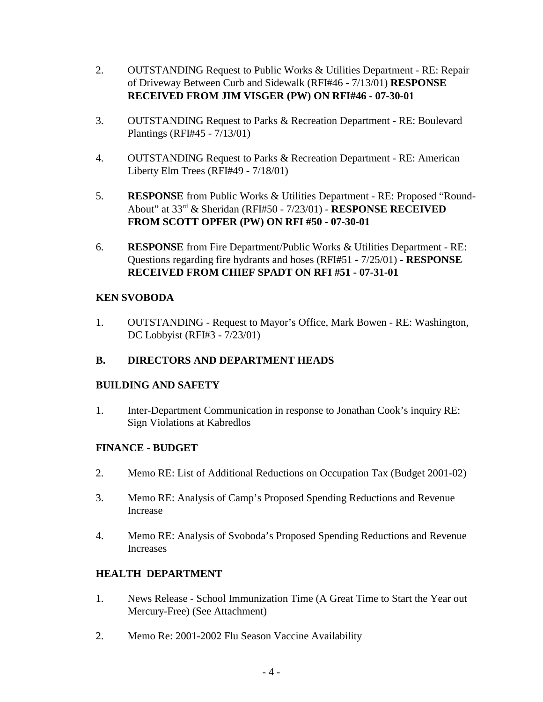- 2. OUTSTANDING Request to Public Works & Utilities Department RE: Repair of Driveway Between Curb and Sidewalk (RFI#46 - 7/13/01) **RESPONSE RECEIVED FROM JIM VISGER (PW) ON RFI#46 - 07-30-01**
- 3. OUTSTANDING Request to Parks & Recreation Department RE: Boulevard Plantings (RFI#45 - 7/13/01)
- 4. OUTSTANDING Request to Parks & Recreation Department RE: American Liberty Elm Trees (RFI#49 - 7/18/01)
- 5. **RESPONSE** from Public Works & Utilities Department RE: Proposed "Round-About" at 33rd & Sheridan (RFI#50 - 7/23/01) - **RESPONSE RECEIVED FROM SCOTT OPFER (PW) ON RFI #50 - 07-30-01**
- 6. **RESPONSE** from Fire Department/Public Works & Utilities Department RE: Questions regarding fire hydrants and hoses (RFI#51 - 7/25/01) - **RESPONSE RECEIVED FROM CHIEF SPADT ON RFI #51 - 07-31-01**

## **KEN SVOBODA**

1. OUTSTANDING - Request to Mayor's Office, Mark Bowen - RE: Washington, DC Lobbyist (RFI#3 - 7/23/01)

# **B. DIRECTORS AND DEPARTMENT HEADS**

#### **BUILDING AND SAFETY**

1. Inter-Department Communication in response to Jonathan Cook's inquiry RE: Sign Violations at Kabredlos

#### **FINANCE - BUDGET**

- 2. Memo RE: List of Additional Reductions on Occupation Tax (Budget 2001-02)
- 3. Memo RE: Analysis of Camp's Proposed Spending Reductions and Revenue Increase
- 4. Memo RE: Analysis of Svoboda's Proposed Spending Reductions and Revenue **Increases**

# **HEALTH DEPARTMENT**

- 1. News Release School Immunization Time (A Great Time to Start the Year out Mercury-Free) (See Attachment)
- 2. Memo Re: 2001-2002 Flu Season Vaccine Availability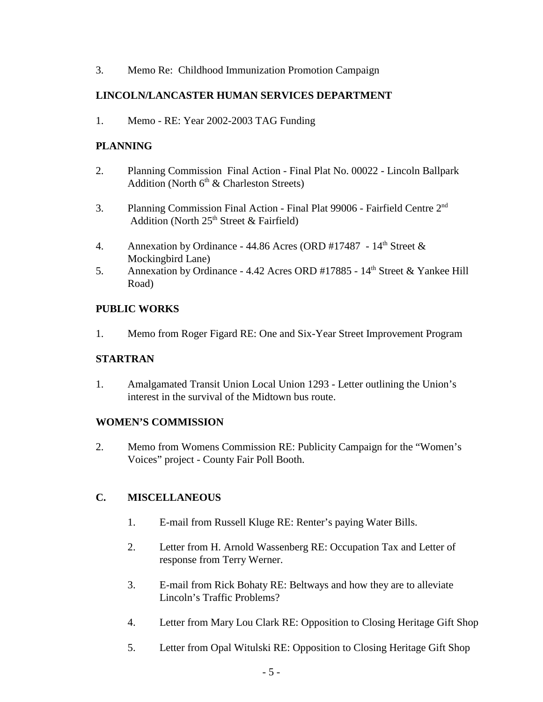3. Memo Re: Childhood Immunization Promotion Campaign

## **LINCOLN/LANCASTER HUMAN SERVICES DEPARTMENT**

1. Memo - RE: Year 2002-2003 TAG Funding

#### **PLANNING**

- 2. Planning Commission Final Action Final Plat No. 00022 Lincoln Ballpark Addition (North  $6<sup>th</sup>$  & Charleston Streets)
- 3. Planning Commission Final Action Final Plat 99006 Fairfield Centre 2<sup>nd</sup> Addition (North  $25<sup>th</sup>$  Street & Fairfield)
- 4. Annexation by Ordinance 44.86 Acres (ORD #17487  $14<sup>th</sup>$  Street & Mockingbird Lane)
- 5. Annexation by Ordinance 4.42 Acres ORD #17885 14<sup>th</sup> Street & Yankee Hill Road)

## **PUBLIC WORKS**

1. Memo from Roger Figard RE: One and Six-Year Street Improvement Program

#### **STARTRAN**

1. Amalgamated Transit Union Local Union 1293 - Letter outlining the Union's interest in the survival of the Midtown bus route.

#### **WOMEN'S COMMISSION**

2. Memo from Womens Commission RE: Publicity Campaign for the "Women's Voices" project - County Fair Poll Booth.

# **C. MISCELLANEOUS**

- 1. E-mail from Russell Kluge RE: Renter's paying Water Bills.
- 2. Letter from H. Arnold Wassenberg RE: Occupation Tax and Letter of response from Terry Werner.
- 3. E-mail from Rick Bohaty RE: Beltways and how they are to alleviate Lincoln's Traffic Problems?
- 4. Letter from Mary Lou Clark RE: Opposition to Closing Heritage Gift Shop
- 5. Letter from Opal Witulski RE: Opposition to Closing Heritage Gift Shop